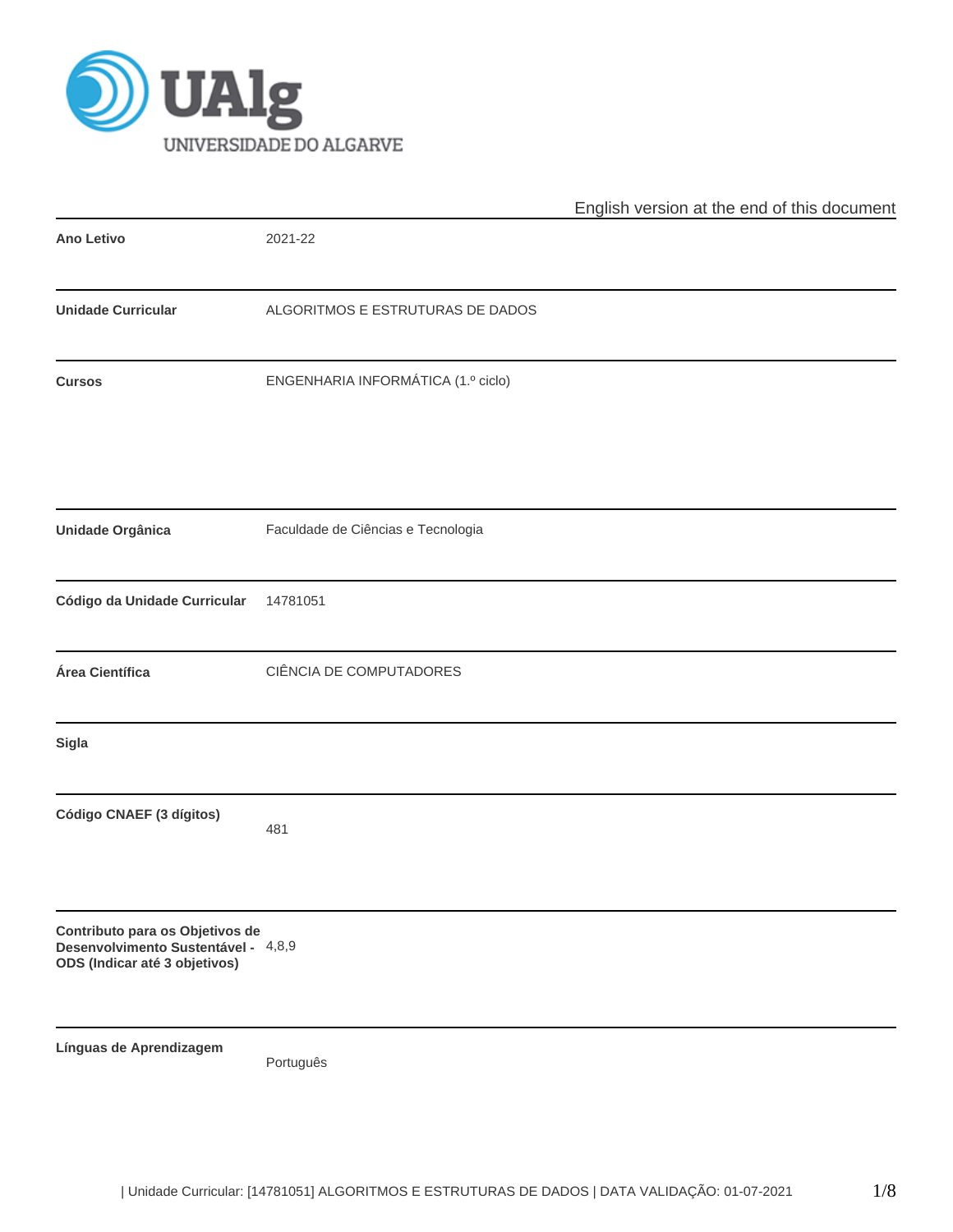

|                                                                                                         |                                    | English version at the end of this document |
|---------------------------------------------------------------------------------------------------------|------------------------------------|---------------------------------------------|
| <b>Ano Letivo</b>                                                                                       | 2021-22                            |                                             |
| <b>Unidade Curricular</b>                                                                               | ALGORITMOS E ESTRUTURAS DE DADOS   |                                             |
| <b>Cursos</b>                                                                                           | ENGENHARIA INFORMÁTICA (1.º ciclo) |                                             |
| <b>Unidade Orgânica</b>                                                                                 | Faculdade de Ciências e Tecnologia |                                             |
| Código da Unidade Curricular                                                                            | 14781051                           |                                             |
| Área Científica                                                                                         | CIÊNCIA DE COMPUTADORES            |                                             |
| <b>Sigla</b>                                                                                            |                                    |                                             |
| Código CNAEF (3 dígitos)                                                                                | 481                                |                                             |
| Contributo para os Objetivos de<br>Desenvolvimento Sustentável - 4,8,9<br>ODS (Indicar até 3 objetivos) |                                    |                                             |
| Línguas de Aprendizagem                                                                                 | Português                          |                                             |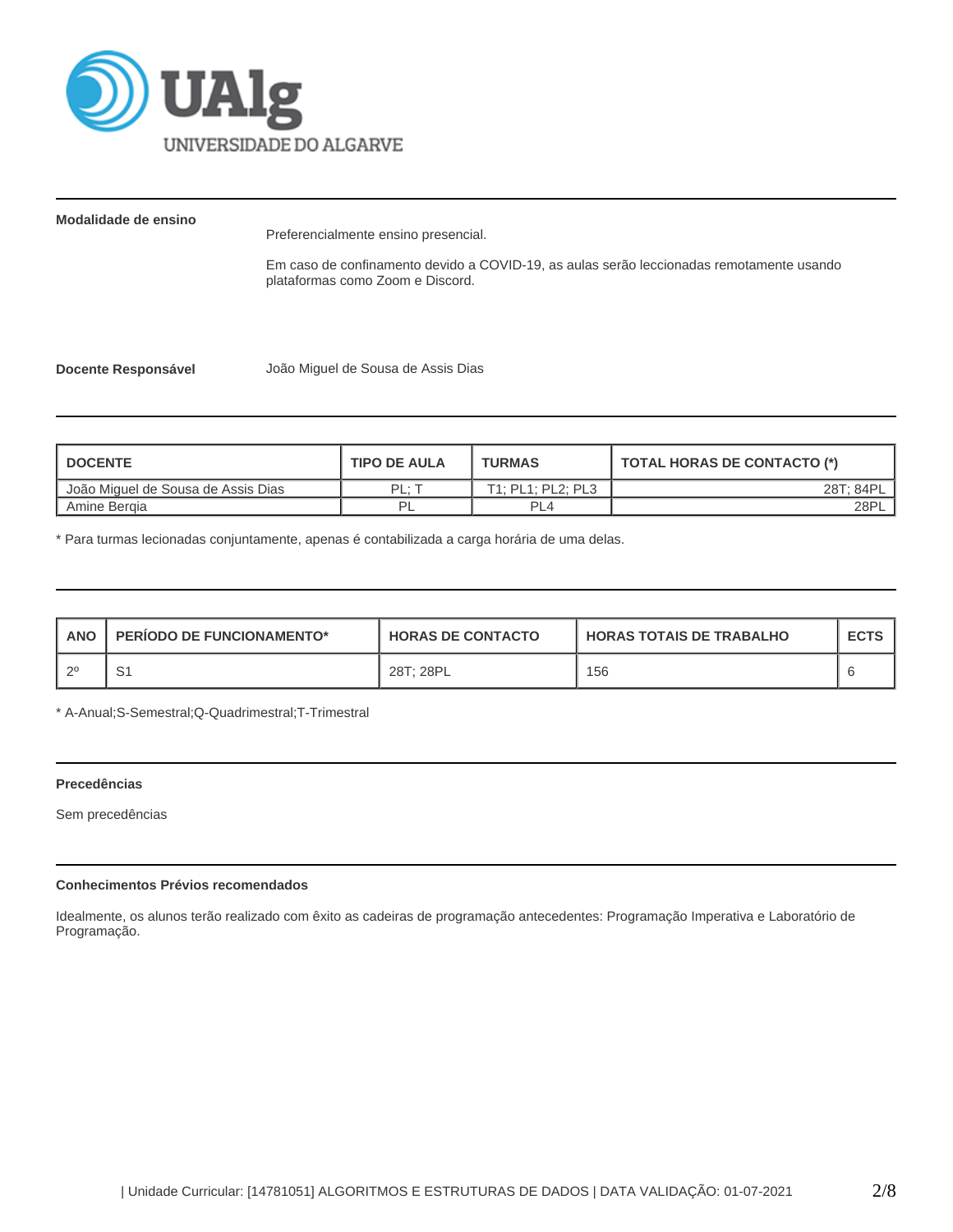

# **Modalidade de ensino**

Preferencialmente ensino presencial.

Em caso de confinamento devido a COVID-19, as aulas serão leccionadas remotamente usando plataformas como Zoom e Discord.

**Docente Responsável** João Miguel de Sousa de Assis Dias

| <b>DOCENTE</b>                     | <b>TIPO DE AULA</b> | <b>TURMAS</b>     | TOTAL HORAS DE CONTACTO (*) |
|------------------------------------|---------------------|-------------------|-----------------------------|
| João Miguel de Sousa de Assis Dias | PL:                 | T1: PL1: PL2: PL3 | 28T: 84PI                   |
| Amine Bergia                       |                     | PL4               | 28PL                        |

\* Para turmas lecionadas conjuntamente, apenas é contabilizada a carga horária de uma delas.

| <b>ANC</b> | <b>PERIODO DE FUNCIONAMENTO*</b> | <b>HORAS DE CONTACTO</b> | <b>HORAS TOTAIS DE TRABALHO</b> | <b>ECTS</b> |
|------------|----------------------------------|--------------------------|---------------------------------|-------------|
| _ററ        | . ت                              | 28T; 28PL                | 156                             |             |

\* A-Anual;S-Semestral;Q-Quadrimestral;T-Trimestral

#### **Precedências**

Sem precedências

# **Conhecimentos Prévios recomendados**

Idealmente, os alunos terão realizado com êxito as cadeiras de programação antecedentes: Programação Imperativa e Laboratório de Programação.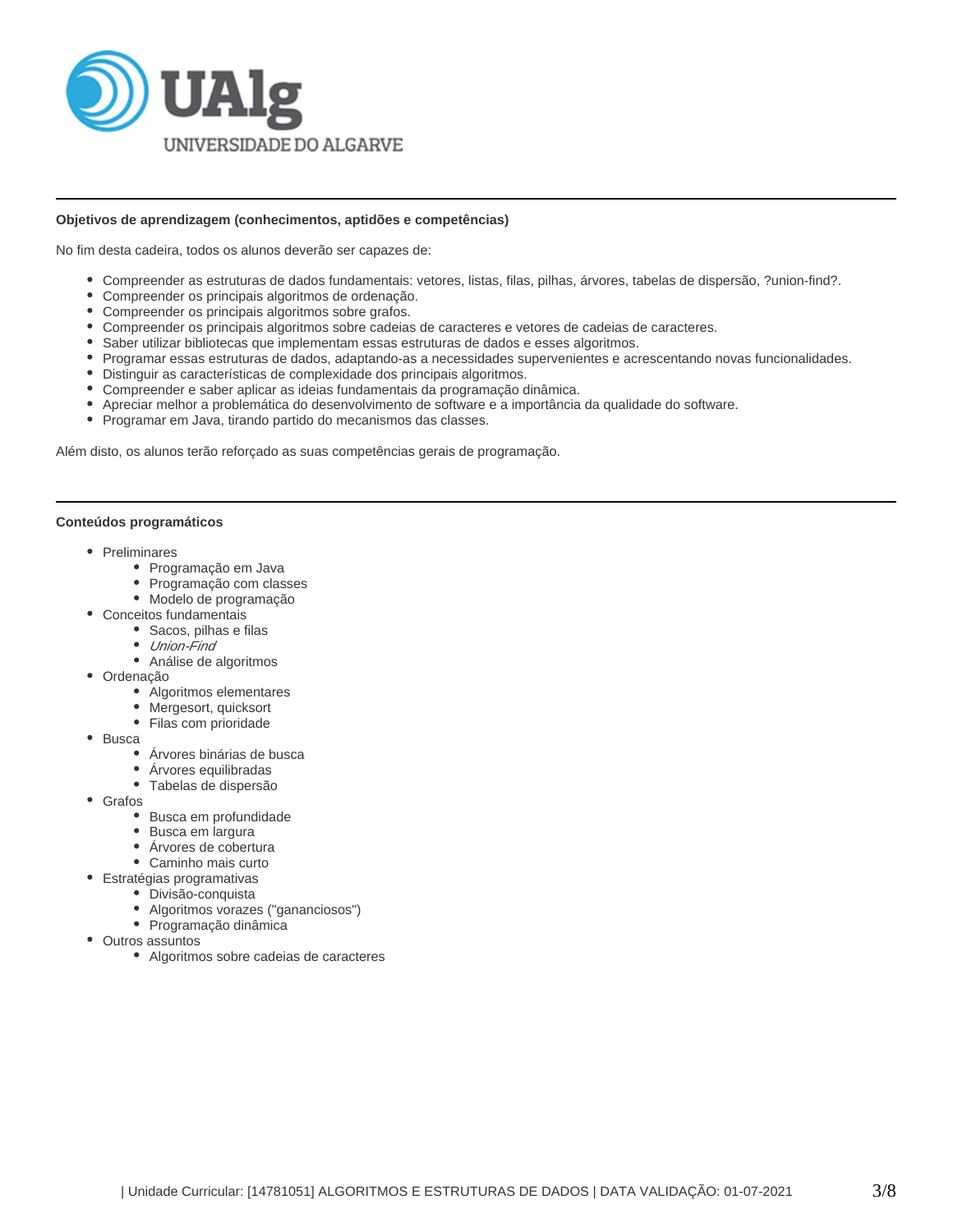

# **Objetivos de aprendizagem (conhecimentos, aptidões e competências)**

No fim desta cadeira, todos os alunos deverão ser capazes de:

- Compreender as estruturas de dados fundamentais: vetores, listas, filas, pilhas, árvores, tabelas de dispersão, ?union-find?.
- Compreender os principais algoritmos de ordenação.
- Compreender os principais algoritmos sobre grafos.
- Compreender os principais algoritmos sobre cadeias de caracteres e vetores de cadeias de caracteres.
- Saber utilizar bibliotecas que implementam essas estruturas de dados e esses algoritmos.
- Programar essas estruturas de dados, adaptando-as a necessidades supervenientes e acrescentando novas funcionalidades.
- Distinguir as características de complexidade dos principais algoritmos.
- Compreender e saber aplicar as ideias fundamentais da programação dinâmica.
- Apreciar melhor a problemática do desenvolvimento de software e a importância da qualidade do software.
- Programar em Java, tirando partido do mecanismos das classes.

Além disto, os alunos terão reforçado as suas competências gerais de programação.

### **Conteúdos programáticos**

- Preliminares
	- Programação em Java
	- Programação com classes
	- Modelo de programação
- Conceitos fundamentais
	- Sacos, pilhas e filas
	- Union-Find
	- Análise de algoritmos
- Ordenação
	- Algoritmos elementares
	- Mergesort, quicksort
	- Filas com prioridade
- Busca
	- Árvores binárias de busca
	- Árvores equilibradas
	- Tabelas de dispersão
- Grafos
	- Busca em profundidade
	- Busca em largura
	- Árvores de cobertura
	- Caminho mais curto
- Estratégias programativas
	- Divisão-conquista
		- Algoritmos vorazes ("gananciosos")
	- Programação dinâmica
- Outros assuntos
	- Algoritmos sobre cadeias de caracteres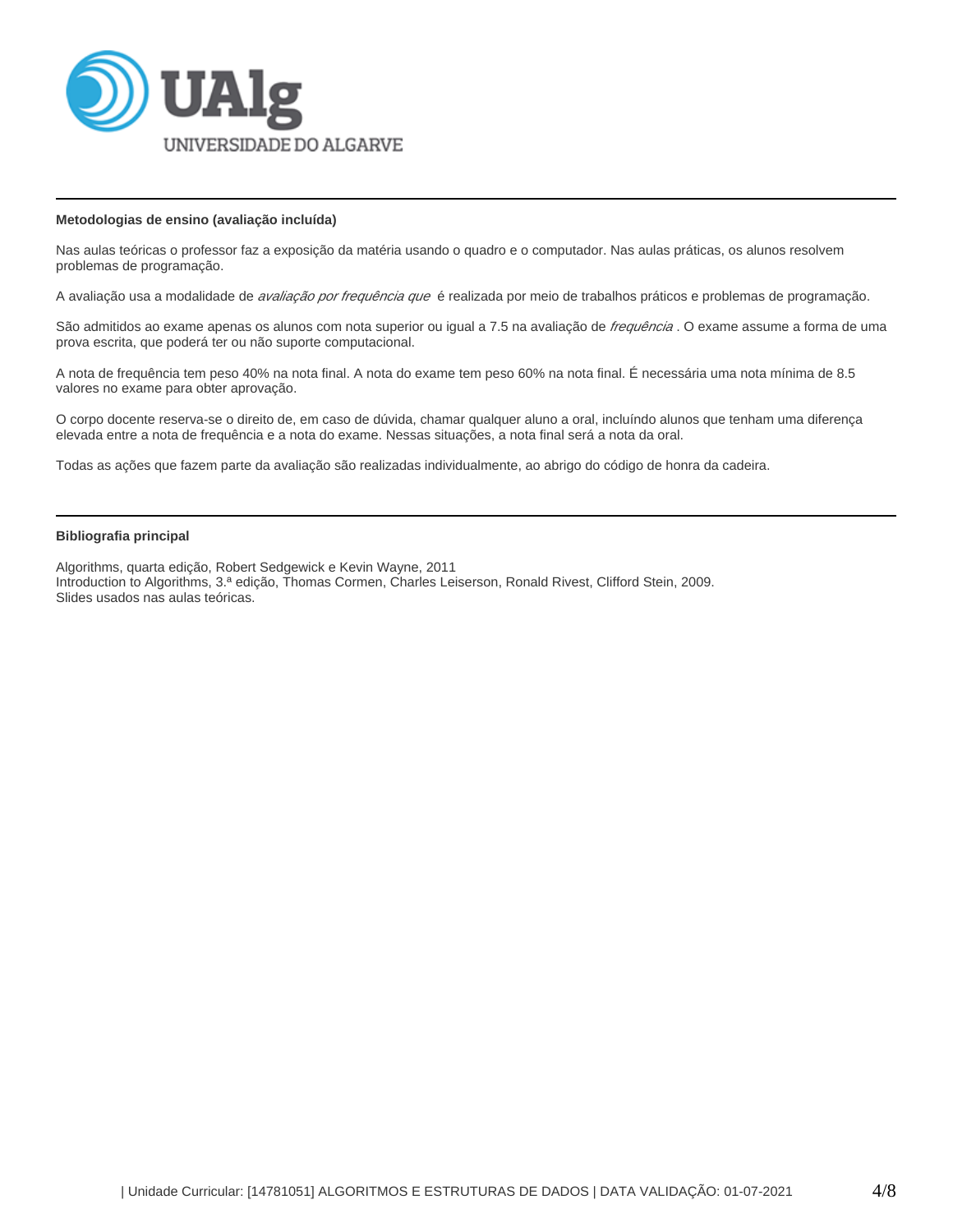

### **Metodologias de ensino (avaliação incluída)**

Nas aulas teóricas o professor faz a exposição da matéria usando o quadro e o computador. Nas aulas práticas, os alunos resolvem problemas de programação.

A avaliação usa a modalidade de *avaliação por frequência que* é realizada por meio de trabalhos práticos e problemas de programação.

São admitidos ao exame apenas os alunos com nota superior ou igual a 7.5 na avaliação de frequência. O exame assume a forma de uma prova escrita, que poderá ter ou não suporte computacional.

A nota de frequência tem peso 40% na nota final. A nota do exame tem peso 60% na nota final. É necessária uma nota mínima de 8.5 valores no exame para obter aprovação.

O corpo docente reserva-se o direito de, em caso de dúvida, chamar qualquer aluno a oral, incluíndo alunos que tenham uma diferença elevada entre a nota de frequência e a nota do exame. Nessas situações, a nota final será a nota da oral.

Todas as ações que fazem parte da avaliação são realizadas individualmente, ao abrigo do código de honra da cadeira.

### **Bibliografia principal**

Algorithms, quarta edição, Robert Sedgewick e Kevin Wayne, 2011 Introduction to Algorithms, 3.ª edição, Thomas Cormen, Charles Leiserson, Ronald Rivest, Clifford Stein, 2009. Slides usados nas aulas teóricas.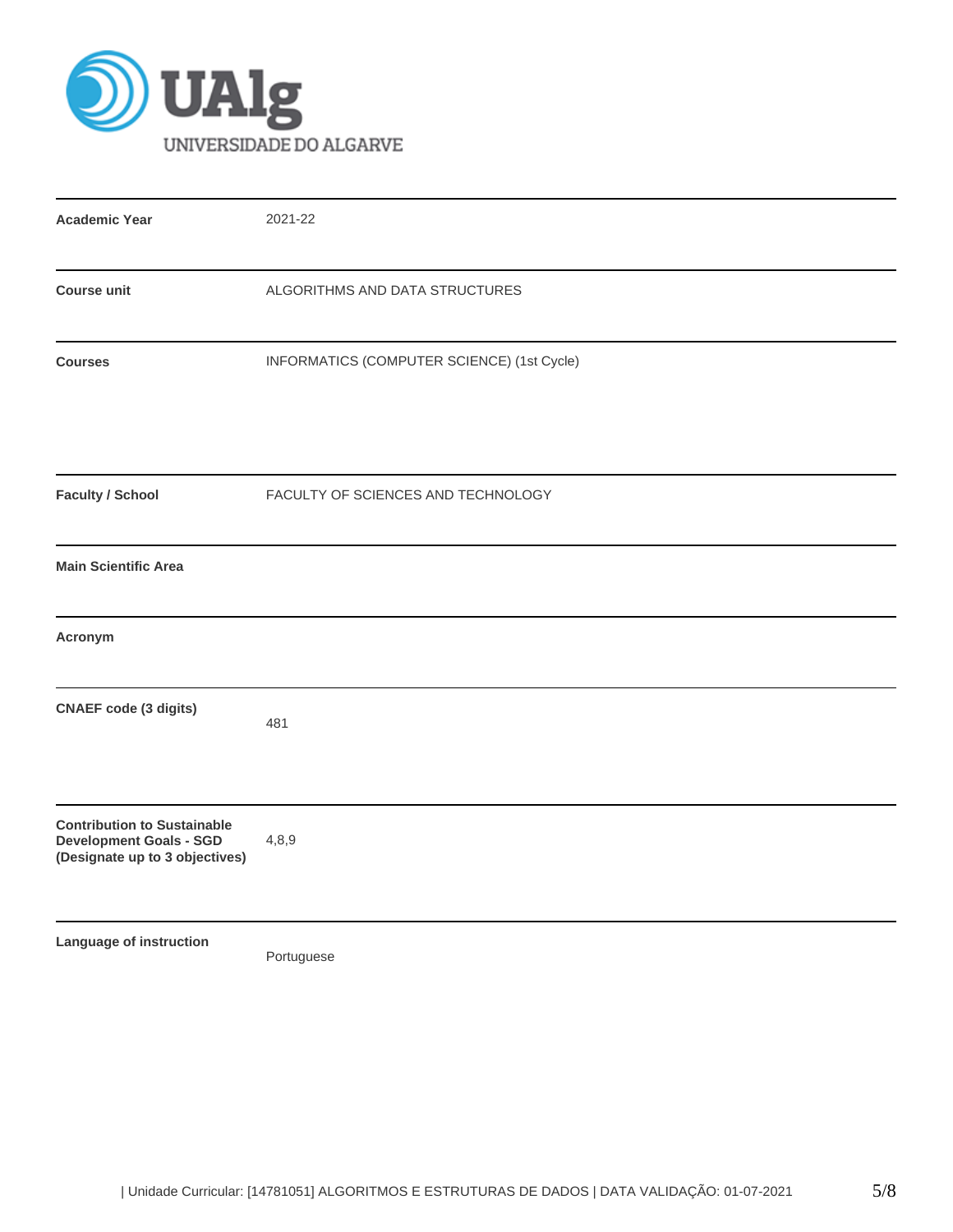

| <b>Academic Year</b>                                                                                   | 2021-22                                    |
|--------------------------------------------------------------------------------------------------------|--------------------------------------------|
| <b>Course unit</b>                                                                                     | ALGORITHMS AND DATA STRUCTURES             |
| <b>Courses</b>                                                                                         | INFORMATICS (COMPUTER SCIENCE) (1st Cycle) |
| <b>Faculty / School</b>                                                                                | FACULTY OF SCIENCES AND TECHNOLOGY         |
| <b>Main Scientific Area</b>                                                                            |                                            |
| Acronym                                                                                                |                                            |
| <b>CNAEF code (3 digits)</b>                                                                           | 481                                        |
| <b>Contribution to Sustainable</b><br><b>Development Goals - SGD</b><br>(Designate up to 3 objectives) | 4,8,9                                      |
| Language of instruction                                                                                | Portuguese                                 |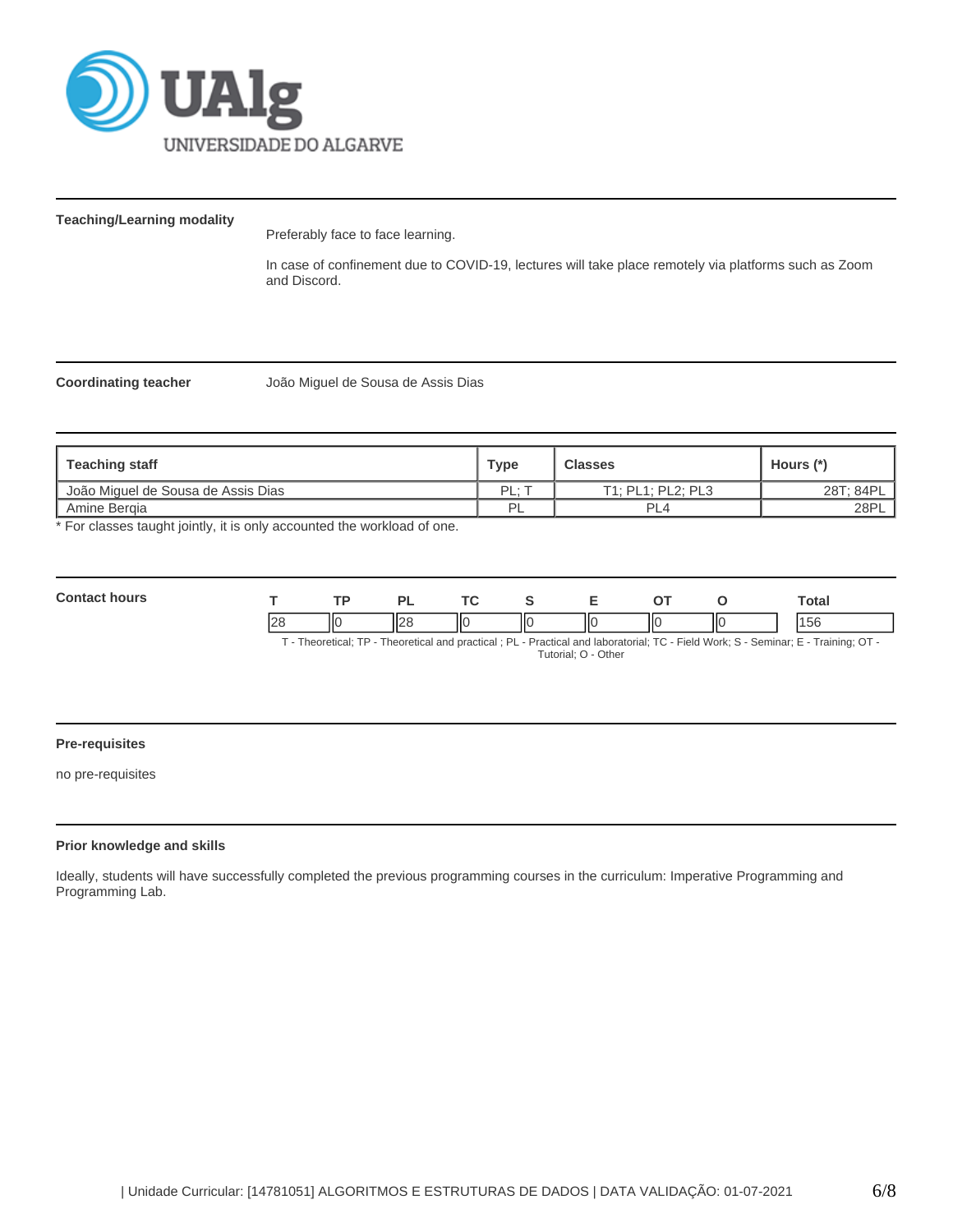

# **Teaching/Learning modality**

Preferably face to face learning.

In case of confinement due to COVID-19, lectures will take place remotely via platforms such as Zoom and Discord.

**Coordinating teacher** João Miguel de Sousa de Assis Dias

| Teaching staff                     | <b>Type</b> | <b>Classes</b>    | Hours (*) |
|------------------------------------|-------------|-------------------|-----------|
| João Miquel de Sousa de Assis Dias | PI·<br>--   | T1: PL1: PL2: PL3 | 28T: 84PL |
| Amine Bergia                       | DI          | PL <sub>4</sub>   | 28PL      |

\* For classes taught jointly, it is only accounted the workload of one.

| Con |                 | гc  | n | $\sim$ |   |   |    |   | otal |
|-----|-----------------|-----|---|--------|---|---|----|---|------|
|     | $\Omega$<br>L C | IІC |   | ۱ΙС    | Ш | Ш | IЮ | Ш | ີ    |

T - Theoretical; TP - Theoretical and practical ; PL - Practical and laboratorial; TC - Field Work; S - Seminar; E - Training; OT - Tutorial; O - Other

# **Pre-requisites**

no pre-requisites

### **Prior knowledge and skills**

Ideally, students will have successfully completed the previous programming courses in the curriculum: Imperative Programming and Programming Lab.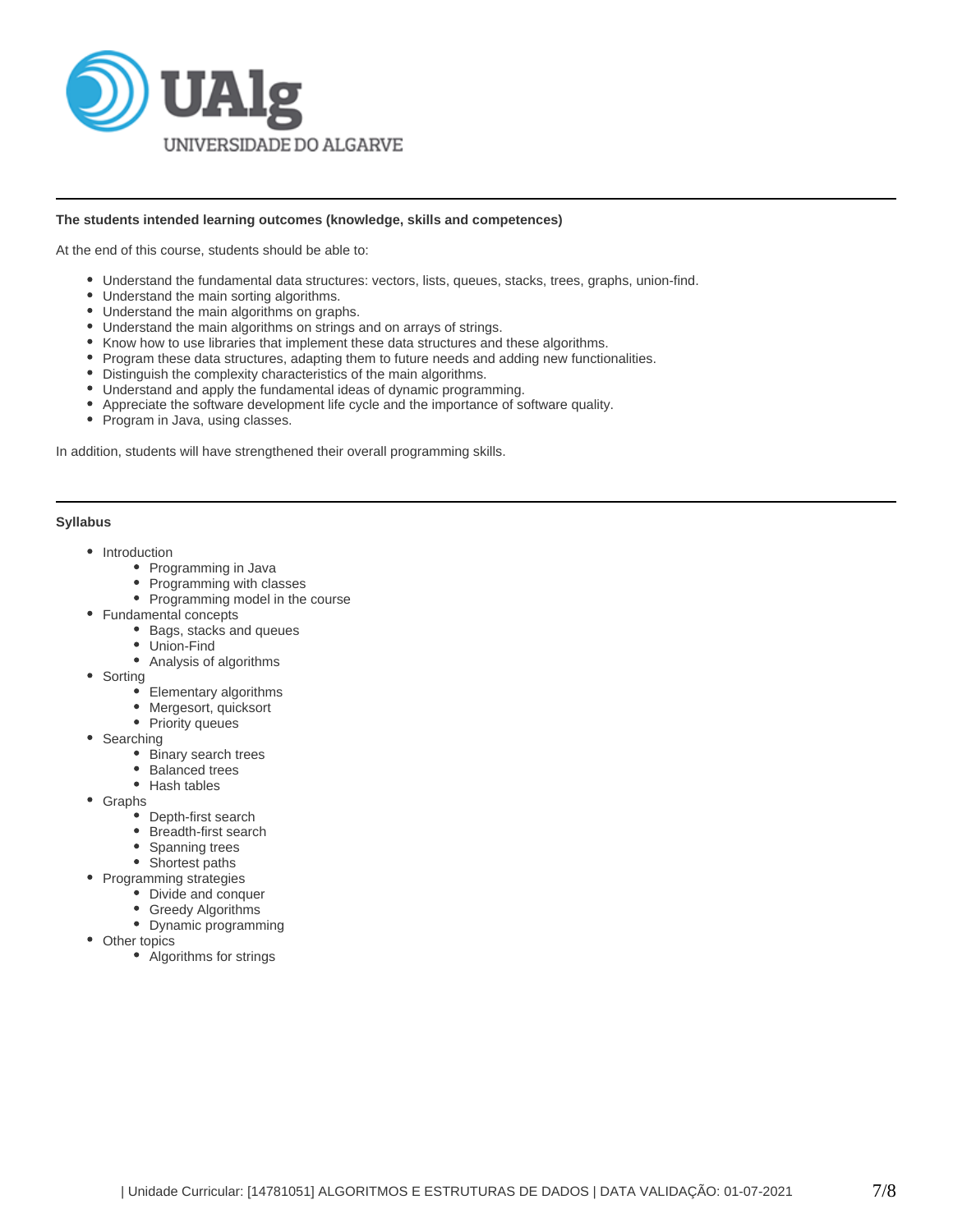

# **The students intended learning outcomes (knowledge, skills and competences)**

At the end of this course, students should be able to:

- Understand the fundamental data structures: vectors, lists, queues, stacks, trees, graphs, union-find.
- Understand the main sorting algorithms.
- $\bullet$ Understand the main algorithms on graphs.
- Understand the main algorithms on strings and on arrays of strings.
- Know how to use libraries that implement these data structures and these algorithms.
- Program these data structures, adapting them to future needs and adding new functionalities.
- Distinguish the complexity characteristics of the main algorithms.
- Understand and apply the fundamental ideas of dynamic programming.
- Appreciate the software development life cycle and the importance of software quality.
- Program in Java, using classes.

In addition, students will have strengthened their overall programming skills.

## **Syllabus**

- Introduction
	- Programming in Java
	- Programming with classes
	- Programming model in the course
- Fundamental concepts
	- Bags, stacks and queues
	- Union-Find
	- Analysis of algorithms
- Sorting
	- Elementary algorithms
	- Mergesort, quicksort
	- Priority queues
- Searching
	- Binary search trees
	- Balanced trees
	- Hash tables
- Graphs
	- Depth-first search
	- Breadth-first search
	- Spanning trees
	- Shortest paths
- Programming strategies
	- Divide and conquer
	- Greedy Algorithms
	- Dynamic programming
- Other topics
	- Algorithms for strings